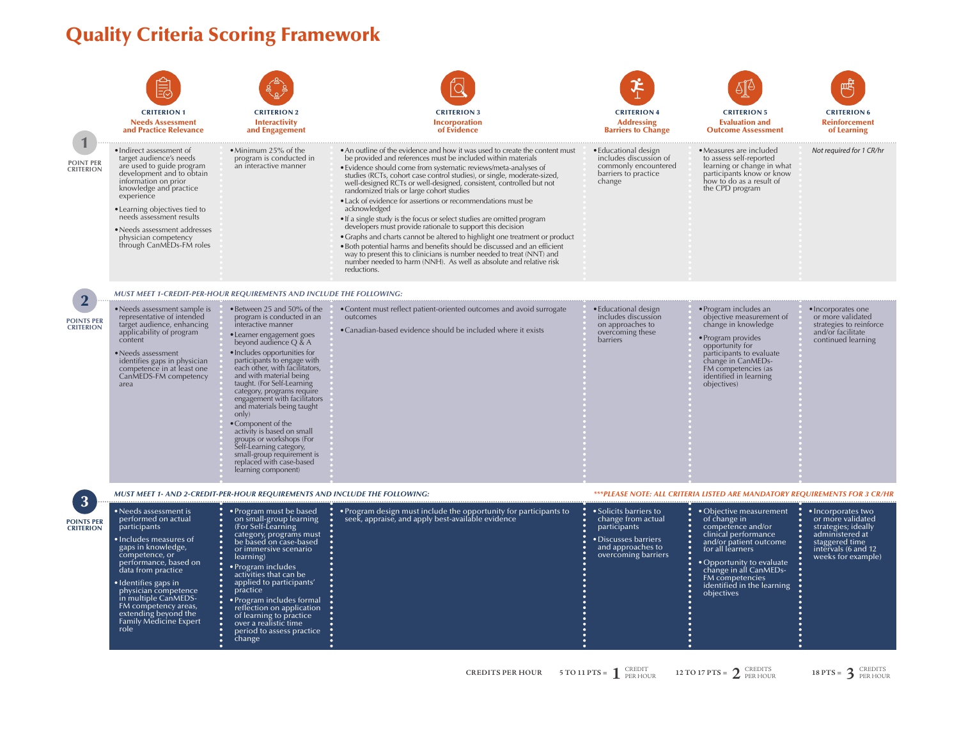## Quality Criteria Scoring Framework

÷ŏ.

÷

|                                       | <b>CRITERION 1</b><br><b>Needs Assessment</b><br>and Practice Relevance                                                                                                                                                                                                                                                                                | <b>CRITERION 2</b><br><b>Interactivity</b><br>and Engagement                                                                                                                                                                                                                                                                                                                                                                                                                                                                                                                                        | <b>CRITERION 3</b><br><b>Incorporation</b><br>of Evidence                                                                                                                                                                                                                                                                                                                                                                                                                                                                                                                                                                                                                                                                                                                                                                                                                                                                                                      | <b>CRITERION 4</b><br><b>Addressing</b><br><b>Barriers to Change</b>                                                             | <b>CRITERION 5</b><br><b>Evaluation and</b><br><b>Outcome Assessment</b>                                                                                                                                                                                 | <b>CRITERION 6</b><br><b>Reinforcement</b><br>of Learning                                                                                        |
|---------------------------------------|--------------------------------------------------------------------------------------------------------------------------------------------------------------------------------------------------------------------------------------------------------------------------------------------------------------------------------------------------------|-----------------------------------------------------------------------------------------------------------------------------------------------------------------------------------------------------------------------------------------------------------------------------------------------------------------------------------------------------------------------------------------------------------------------------------------------------------------------------------------------------------------------------------------------------------------------------------------------------|----------------------------------------------------------------------------------------------------------------------------------------------------------------------------------------------------------------------------------------------------------------------------------------------------------------------------------------------------------------------------------------------------------------------------------------------------------------------------------------------------------------------------------------------------------------------------------------------------------------------------------------------------------------------------------------------------------------------------------------------------------------------------------------------------------------------------------------------------------------------------------------------------------------------------------------------------------------|----------------------------------------------------------------------------------------------------------------------------------|----------------------------------------------------------------------------------------------------------------------------------------------------------------------------------------------------------------------------------------------------------|--------------------------------------------------------------------------------------------------------------------------------------------------|
| <b>POINT PER</b><br><b>CRITERION</b>  | $\bullet$ Indirect assessment of<br>target audience's needs<br>are used to guide program<br>development and to obtain<br>information on prior<br>knowledge and practice<br>experience<br>• Learning objectives tied to<br>needs assessment results<br>• Needs assessment addresses<br>physician competency<br>through CanMEDs-FM roles                 | $\bullet$ Minimum 25% of the<br>program is conducted in<br>an interactive manner                                                                                                                                                                                                                                                                                                                                                                                                                                                                                                                    | • An outline of the evidence and how it was used to create the content must<br>be provided and references must be included within materials<br>• Evidence should come from systematic reviews/meta-analyses of<br>studies (RCTs, cohort case control studies), or single, moderate-sized,<br>well-designed RCTs or well-designed, consistent, controlled but not<br>randomized trials or large cohort studies<br>• Lack of evidence for assertions or recommendations must be<br>acknowledged<br>. If a single study is the focus or select studies are omitted program<br>developers must provide rationale to support this decision<br>• Graphs and charts cannot be altered to highlight one treatment or product<br>· Both potential harms and benefits should be discussed and an efficient<br>way to present this to clinicians is number needed to treat (NNT) and<br>number needed to harm (NNH). As well as absolute and relative risk<br>reductions. | • Educational design<br>includes discussion of<br>commonly encountered<br>barriers to practice<br>change                         | • Measures are included<br>to assess self-reported<br>learning or change in what<br>participants know or know<br>how to do as a result of<br>the CPD program                                                                                             | Not required for 1 CR/hr                                                                                                                         |
|                                       |                                                                                                                                                                                                                                                                                                                                                        | MUST MEET 1-CREDIT-PER-HOUR REQUIREMENTS AND INCLUDE THE FOLLOWING:                                                                                                                                                                                                                                                                                                                                                                                                                                                                                                                                 |                                                                                                                                                                                                                                                                                                                                                                                                                                                                                                                                                                                                                                                                                                                                                                                                                                                                                                                                                                |                                                                                                                                  |                                                                                                                                                                                                                                                          |                                                                                                                                                  |
| <b>POINTS PER</b><br><b>CRITERION</b> | • Needs assessment sample is<br>representative of intended<br>target audience, enhancing<br>applicability of program<br>content<br>• Needs assessment<br>identifies gaps in physician<br>competence in at least one<br>CanMEDS-FM competency<br>area                                                                                                   | • Between 25 and 50% of the<br>program is conducted in an<br>interactive manner<br>• Learner engagement goes<br>beyond audience $Q \& A$<br>• Includes opportunities for<br>participants to engage with<br>each other, with facilitators,<br>and with material being<br>taught. (For Self-Learning<br>category, programs require<br>engagement with facilitators<br>and materials being taught<br>only)<br>• Component of the<br>activity is based on small<br>groups or workshops (For<br>Self-Learning category,<br>small-group requirement is<br>replaced with case-based<br>learning component) | • Content must reflect patient-oriented outcomes and avoid surrogate<br>outcomes<br>• Canadian-based evidence should be included where it exists                                                                                                                                                                                                                                                                                                                                                                                                                                                                                                                                                                                                                                                                                                                                                                                                               | • Educational design<br>includes discussion<br>on approaches to<br>overcoming these<br>barriers                                  | • Program includes an<br>objective measurement of<br>change in knowledge<br>• Program provides<br>opportunity for<br>participants to evaluate<br>change in CanMEDs-<br>FM competencies (as<br>identified in learning<br>objectives)                      | • Incorporates one<br>or more validated<br>strategies to reinforce<br>and/or facilitate<br>continued learning                                    |
|                                       | MUST MEET 1- AND 2-CREDIT-PER-HOUR REQUIREMENTS AND INCLUDE THE FOLLOWING:                                                                                                                                                                                                                                                                             |                                                                                                                                                                                                                                                                                                                                                                                                                                                                                                                                                                                                     |                                                                                                                                                                                                                                                                                                                                                                                                                                                                                                                                                                                                                                                                                                                                                                                                                                                                                                                                                                | ***PLEASE NOTE: ALL CRITERIA LISTED ARE MANDATORY REQUIREMENTS FOR 3 CR/HR                                                       |                                                                                                                                                                                                                                                          |                                                                                                                                                  |
| <b>POINTS PER</b><br><b>CRITERION</b> | $\bullet$ Needs assessment is<br>performed on actual<br>participants<br>· Includes measures of<br>gaps in knowledge,<br>competence, or<br>performance, based on<br>data from practice<br>• Identifies gaps in<br>physician competence<br>in multiple CanMEDS-<br>FM competency areas,<br>extending beyond the<br><b>Family Medicine Expert</b><br>role | $\bullet$ Program must be based<br>on small-group learning<br>(For Self-Learning)<br>category, programs must<br>be based on case-based<br>or immersive scenario<br>learning)<br>Program includes<br>activities that can be<br>applied to participants'<br>practice<br>Program includes formal<br>reflection on application<br>of learning to practice<br>over a realistic time<br>period to assess practice<br>change                                                                                                                                                                               | • Program design must include the opportunity for participants to<br>seek, appraise, and apply best-available evidence                                                                                                                                                                                                                                                                                                                                                                                                                                                                                                                                                                                                                                                                                                                                                                                                                                         | • Solicits barriers to<br>change from actual<br>participants<br>• Discusses barriers<br>and approaches to<br>overcoming barriers | • Objective measurement<br>of change in<br>competence and/or<br>clinical performance<br>and/or patient outcome<br>for all learners<br>• Opportunity to evaluate<br>change in all CanMEDs-<br>FM competencies<br>identified in the learning<br>objectives | · Incorporates two<br>or more validated<br>strategies; ideally<br>administered at<br>staggered time<br>intervals (6 and 12<br>weeks for example) |

**CREDITS PER HOUR 5 TO 11 PTS =**  $\int_{PER HOWR}^{CREDIT}$ **2** PER HOUR **2** TO 17 PTS =  $\int_{0}^{2}$  CREDITS **2** CREDITS **18 PTS =**  $\int_{0}^{2}$  CREDITS

18  $PTS = 3$  CREDITS

-31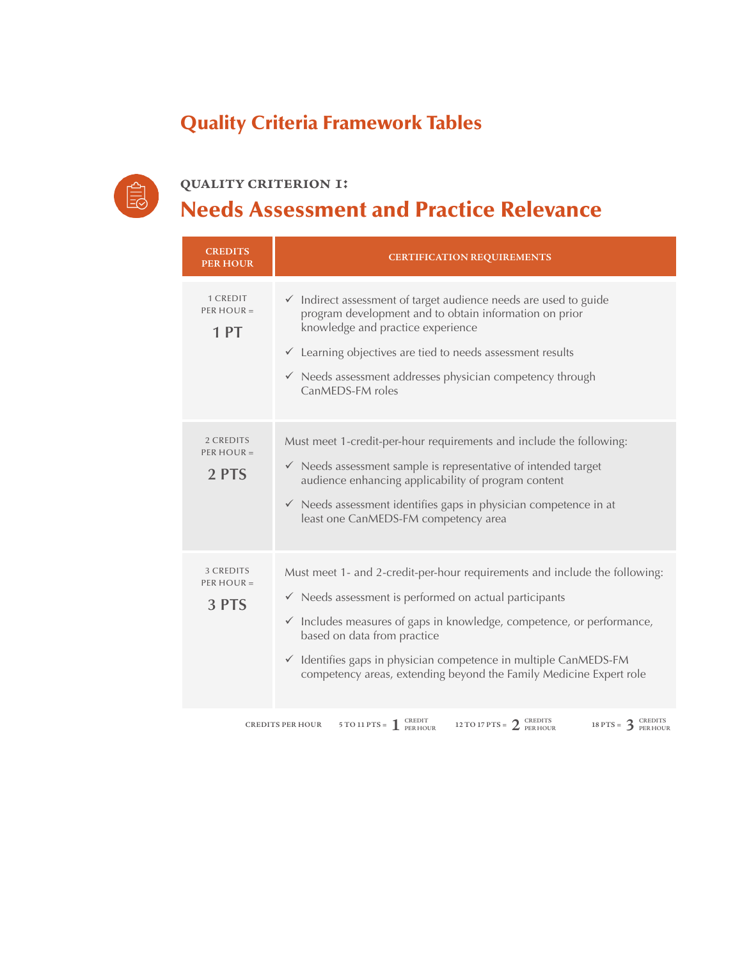## Quality Criteria Framework Tables



#### **quality criterion 1:** Needs Assessment and Practice Relevance

| <b>CREDITS</b><br><b>PER HOUR</b>         | <b>CERTIFICATION REQUIREMENTS</b>                                                                                                                                                                                                                                                                                                                                                                            |
|-------------------------------------------|--------------------------------------------------------------------------------------------------------------------------------------------------------------------------------------------------------------------------------------------------------------------------------------------------------------------------------------------------------------------------------------------------------------|
| 1 CREDIT<br>PER HOUR $=$<br>1PT           | $\checkmark$ Indirect assessment of target audience needs are used to guide<br>program development and to obtain information on prior<br>knowledge and practice experience<br>$\checkmark$ Learning objectives are tied to needs assessment results<br>$\checkmark$ Needs assessment addresses physician competency through<br>CanMEDS-FM roles                                                              |
| 2 CREDITS<br>PER HOUR $=$<br>2 PTS        | Must meet 1-credit-per-hour requirements and include the following:<br>$\checkmark$ Needs assessment sample is representative of intended target<br>audience enhancing applicability of program content<br>Needs assessment identifies gaps in physician competence in at<br>$\checkmark$<br>least one CanMEDS-FM competency area                                                                            |
| <b>3 CREDITS</b><br>PER HOUR $=$<br>3 PTS | Must meet 1- and 2-credit-per-hour requirements and include the following:<br>$\checkmark$ Needs assessment is performed on actual participants<br>$\checkmark$ Includes measures of gaps in knowledge, competence, or performance,<br>based on data from practice<br>✓ Identifies gaps in physician competence in multiple CanMEDS-FM<br>competency areas, extending beyond the Family Medicine Expert role |
|                                           | CREDITE<br>CREDIT<br>CREDITS                                                                                                                                                                                                                                                                                                                                                                                 |

**CREDITS PER HOUR 2 2 CREDITS 2 CREDITS 12 TO 17 PTS = 2 CREDITS 2 PER HOUR 2 2 PER HOUR**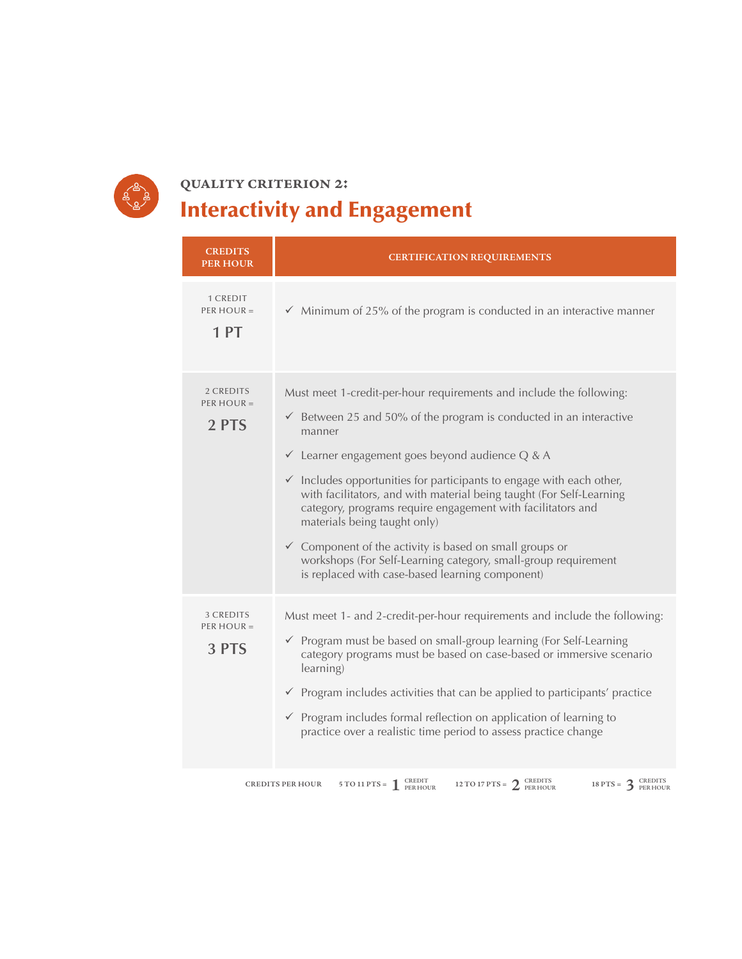

## **quality criterion 2:** Interactivity and Engagement

| <b>CREDITS</b><br><b>PER HOUR</b>  | <b>CERTIFICATION REQUIREMENTS</b>                                                                                                                                                                                                                                                                                                                                                                                                                                                                                                                                                                                                                                                 |
|------------------------------------|-----------------------------------------------------------------------------------------------------------------------------------------------------------------------------------------------------------------------------------------------------------------------------------------------------------------------------------------------------------------------------------------------------------------------------------------------------------------------------------------------------------------------------------------------------------------------------------------------------------------------------------------------------------------------------------|
| 1 CREDIT<br>PER HOUR $=$<br>1 PT   | $\checkmark$ Minimum of 25% of the program is conducted in an interactive manner                                                                                                                                                                                                                                                                                                                                                                                                                                                                                                                                                                                                  |
| 2 CREDITS<br>PER HOUR $=$<br>2 PTS | Must meet 1-credit-per-hour requirements and include the following:<br>$\checkmark$ Between 25 and 50% of the program is conducted in an interactive<br>manner<br>$\checkmark$ Learner engagement goes beyond audience Q & A<br>$\checkmark$ Includes opportunities for participants to engage with each other,<br>with facilitators, and with material being taught (For Self-Learning<br>category, programs require engagement with facilitators and<br>materials being taught only)<br>$\checkmark$ Component of the activity is based on small groups or<br>workshops (For Self-Learning category, small-group requirement<br>is replaced with case-based learning component) |
| 3 CREDITS<br>PER HOUR $=$<br>3 PTS | Must meet 1- and 2-credit-per-hour requirements and include the following:<br>$\checkmark$ Program must be based on small-group learning (For Self-Learning<br>category programs must be based on case-based or immersive scenario<br>learning)<br>$\checkmark$ Program includes activities that can be applied to participants' practice<br>$\checkmark$ Program includes formal reflection on application of learning to<br>practice over a realistic time period to assess practice change                                                                                                                                                                                     |

**CREDITS PER HOUR 2 2 CREDITS 2 CREDITS 12 TO 17 PTS = 2 CREDITS 2 PER HOUR 2 2 PER HOUR**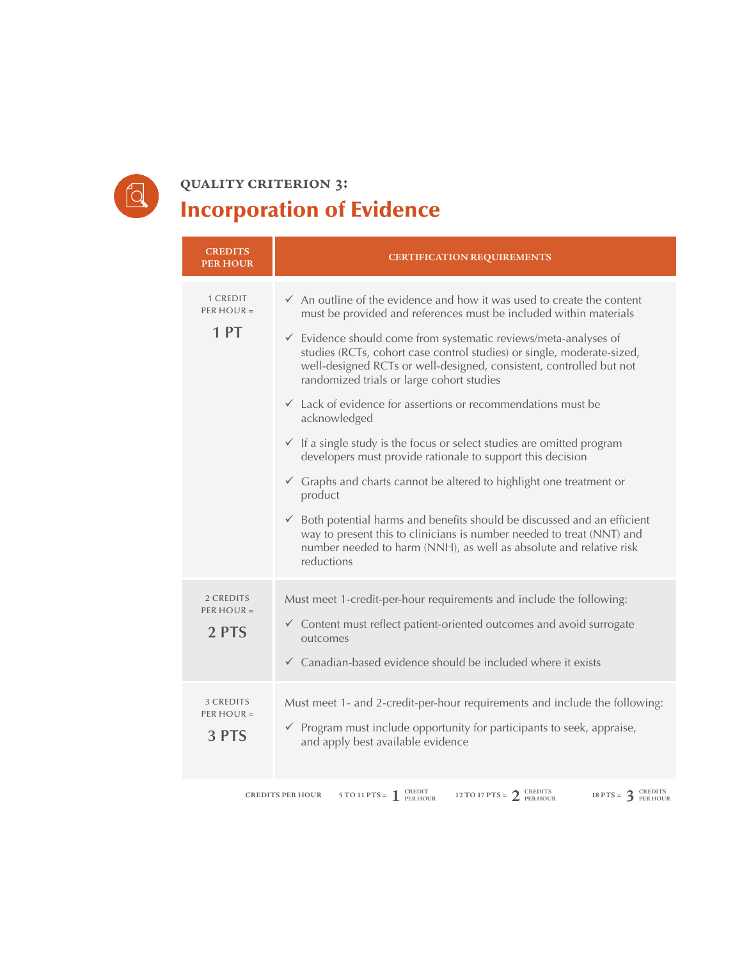

#### **quality criterion 3:** Incorporation of Evidence

| <b>CREDITS</b><br><b>PER HOUR</b>  | <b>CERTIFICATION REQUIREMENTS</b>                                                                                                                                                                                                                                                                                                                                                                                                                                                                                                                                                                                                                                                                                                                                                                                                                                                                                                                                                                                                 |
|------------------------------------|-----------------------------------------------------------------------------------------------------------------------------------------------------------------------------------------------------------------------------------------------------------------------------------------------------------------------------------------------------------------------------------------------------------------------------------------------------------------------------------------------------------------------------------------------------------------------------------------------------------------------------------------------------------------------------------------------------------------------------------------------------------------------------------------------------------------------------------------------------------------------------------------------------------------------------------------------------------------------------------------------------------------------------------|
| 1 CREDIT<br>PER HOUR $=$<br>1PT    | $\checkmark$ An outline of the evidence and how it was used to create the content<br>must be provided and references must be included within materials<br>$\checkmark$ Evidence should come from systematic reviews/meta-analyses of<br>studies (RCTs, cohort case control studies) or single, moderate-sized,<br>well-designed RCTs or well-designed, consistent, controlled but not<br>randomized trials or large cohort studies<br>$\checkmark$ Lack of evidence for assertions or recommendations must be<br>acknowledged<br>$\checkmark$ If a single study is the focus or select studies are omitted program<br>developers must provide rationale to support this decision<br>$\checkmark$ Graphs and charts cannot be altered to highlight one treatment or<br>product<br>$\checkmark$ Both potential harms and benefits should be discussed and an efficient<br>way to present this to clinicians is number needed to treat (NNT) and<br>number needed to harm (NNH), as well as absolute and relative risk<br>reductions |
| 2 CREDITS<br>PER HOUR $=$<br>2 PTS | Must meet 1-credit-per-hour requirements and include the following:<br>$\checkmark$ Content must reflect patient-oriented outcomes and avoid surrogate<br>outcomes<br>$\checkmark$ Canadian-based evidence should be included where it exists                                                                                                                                                                                                                                                                                                                                                                                                                                                                                                                                                                                                                                                                                                                                                                                     |
| 3 CREDITS<br>PER HOUR $=$<br>3 PTS | Must meet 1- and 2-credit-per-hour requirements and include the following:<br>$\checkmark$ Program must include opportunity for participants to seek, appraise,<br>and apply best available evidence                                                                                                                                                                                                                                                                                                                                                                                                                                                                                                                                                                                                                                                                                                                                                                                                                              |
|                                    | 5 TO 11 PTS = $\int_{PER HOUR}^{CREDIT}$ 12 TO 17 PTS = $\int_{PER HOUR}^{CREDITS}$<br>18 PTS = $3_{PERHOUR}^C$<br><b>CREDITS PER HOUR</b>                                                                                                                                                                                                                                                                                                                                                                                                                                                                                                                                                                                                                                                                                                                                                                                                                                                                                        |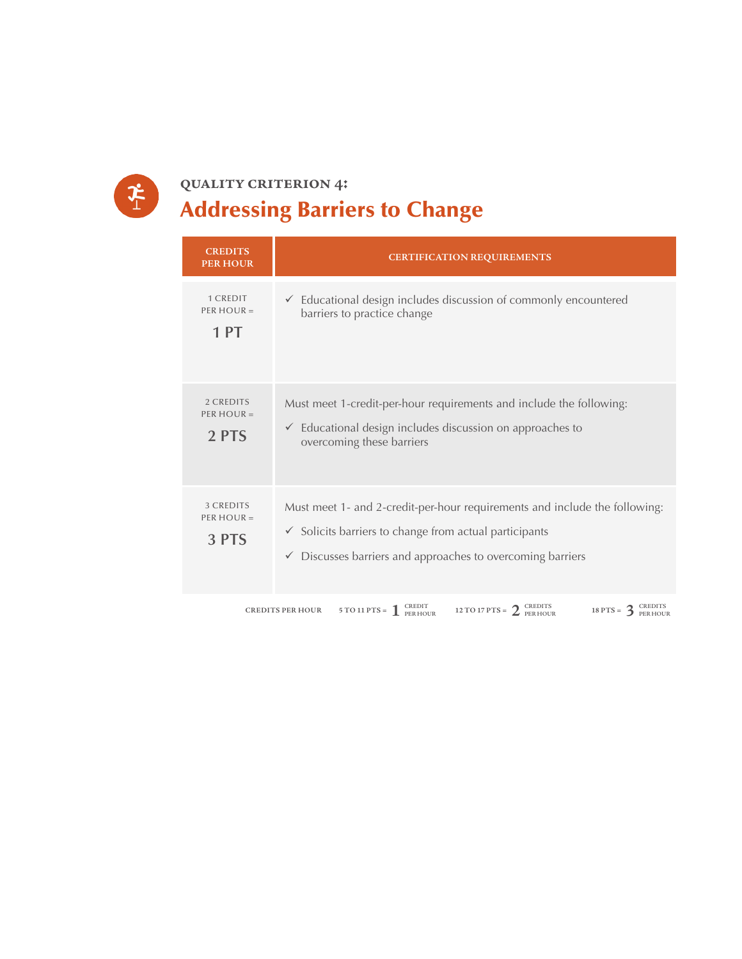

## **quality criterion 4:** Addressing Barriers to Change

| <b>CREDITS</b><br><b>PER HOUR</b>  | <b>CERTIFICATION REQUIREMENTS</b>                                                                                                                                                                                        |  |  |
|------------------------------------|--------------------------------------------------------------------------------------------------------------------------------------------------------------------------------------------------------------------------|--|--|
| 1 CREDIT<br>PER HOUR $=$<br>1PT    | $\checkmark$ Educational design includes discussion of commonly encountered<br>barriers to practice change                                                                                                               |  |  |
| 2 CREDITS<br>PER HOUR $=$<br>2 PTS | Must meet 1-credit-per-hour requirements and include the following:<br>$\checkmark$ Educational design includes discussion on approaches to<br>overcoming these barriers                                                 |  |  |
| 3 CREDITS<br>PER HOUR $=$<br>3 PTS | Must meet 1- and 2-credit-per-hour requirements and include the following:<br>$\checkmark$ Solicits barriers to change from actual participants<br>$\checkmark$ Discusses barriers and approaches to overcoming barriers |  |  |
|                                    | 5 TO 11 PTS = $\int_{\text{PER HOUR}}^{\text{CREDIT}}$<br>12 TO 17 PTS = $2_{PERHOUR}^C$<br>18 PTS = $3_{PERHOUR}^C$<br><b>CREDITS PER HOUR</b>                                                                          |  |  |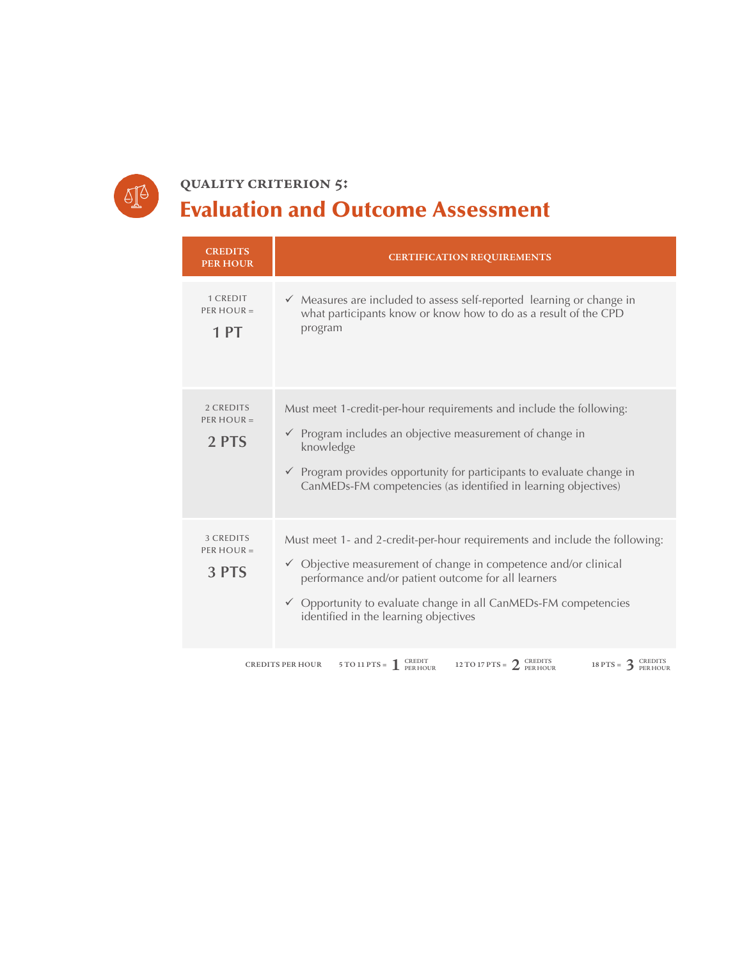

### **quality criterion 5:** Evaluation and Outcome Assessment

| <b>CREDITS</b><br><b>PER HOUR</b>  | <b>CERTIFICATION REQUIREMENTS</b>                                                                                                                                                                                                                                                                                           |  |
|------------------------------------|-----------------------------------------------------------------------------------------------------------------------------------------------------------------------------------------------------------------------------------------------------------------------------------------------------------------------------|--|
| 1 CREDIT<br>PER HOUR $=$<br>1 PT   | $\checkmark$ Measures are included to assess self-reported learning or change in<br>what participants know or know how to do as a result of the CPD<br>program                                                                                                                                                              |  |
| 2 CREDITS<br>PER HOUR $=$<br>2 PTS | Must meet 1-credit-per-hour requirements and include the following:<br>$\checkmark$ Program includes an objective measurement of change in<br>knowledge<br>$\checkmark$ Program provides opportunity for participants to evaluate change in<br>CanMEDs-FM competencies (as identified in learning objectives)               |  |
| 3 CREDITS<br>$PER HOUR =$<br>3 PTS | Must meet 1- and 2-credit-per-hour requirements and include the following:<br>✓ Objective measurement of change in competence and/or clinical<br>performance and/or patient outcome for all learners<br>$\checkmark$ Opportunity to evaluate change in all CanMEDs-FM competencies<br>identified in the learning objectives |  |
|                                    | 5 TO 11 PTS = $\int_{\text{PER HOUR}}^{\text{CREDIT}}$<br>12 TO 17 PTS = $2^{CREDITS}$<br>18 PTS = $3$ CREDITS<br><b>CREDITS PER HOUR</b>                                                                                                                                                                                   |  |